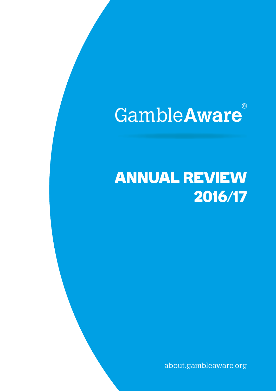# GambleAware®

## **ANNUAL REVIEW 2016/17**

about.gambleaware.org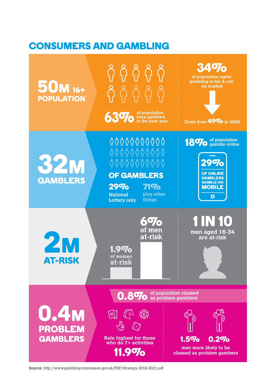### **CONSUMERS AND GAMBLING**



Source: http://www.gamblingcommission.gov.uk/PDF/Strategy-2018-2021.pdf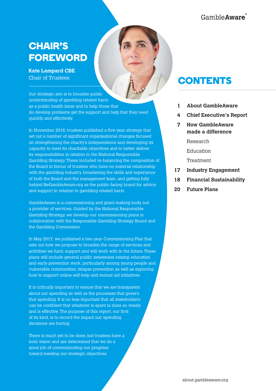Gamble **Aware** 

### **CHAIR'S FOREWORD**

### **Kate Lampard CBE**

Our strategic aim is to broaden public understanding of gambling-related harm as a public health issue and to help those that do develop problems get the support and help that they need quickly and effectively.

In November 2016, trustees published a five-year strategy that set out a number of significant organisational changes focused on strengthening the charity's independence and developing its capacity to meet its charitable objectives and to better deliver its responsibilities in relation to the National Responsible Gambling Strategy. These included re-balancing the composition of the Board in favour of trustees who have no material relationship with the gambling industry, broadening the skills and experience of both the Board and the management team, and getting fully behind BeGambleAware.org as the public-facing brand for advice and support in relation to gambling-related harm.

GambleAware is a commissioning and grant-making body, not a provider of services. Guided by the National Responsible Gambling Strategy, we develop our commissioning plans in collaboration with the Responsible Gambling Strategy Board and the Gambling Commission.

In May 2017, we published a two-year Commissioning Plan that sets out how we propose to broaden the range of services and activities we fund, support and will work with in the future. These plans will include general public awareness-raising, education and early-prevention work, particularly among young people and vulnerable communities, relapse prevention as well as exploring how to support online self-help and mutual aid initiatives.

It is critically important to ensure that we are transparent about our spending as well as the processes that govern that spending. It is no less important that all stakeholders can be confident that whatever is spent is done so wisely and is effective. The purpose of this report, our first of its kind, is to record the impact our spending decisions are having.

There is much yet to be done, but trustees have a bold vision and are determined that we do a good job of communicating our progress toward meeting our strategic objectives.

### Chair of Trustees **CONTENTS**

- **About GambleAware 1**
- **Chief Executive's Report 4**
- **How GambleAware made a difference 7**

Research

Education

**Treatment** 

- **Industry Engagement 17**
- **Financial Sustainability 18**
- **Future Plans 20**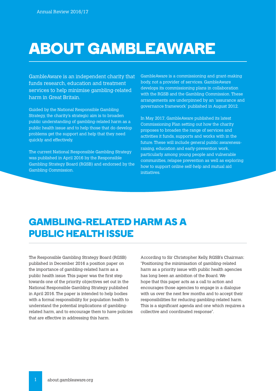## **ABOUT GAMBLEAWARE**

GambleAware is an independent charity that funds research, education and treatment services to help minimise gambling-related harm in Great Britain.

Guided by the National Responsible Gambling Strategy, the charity's strategic aim is to broaden public understanding of gambling-related harm as a public health issue and to help those that do develop problems get the support and help that they need quickly and effectively.

The current National Responsible Gambling Strategy was published in April 2016 by the Responsible Gambling Strategy Board (RGSB) and endorsed by the Gambling Commission.

GambleAware is a commissioning and grant-making body, not a provider of services. GambleAware develops its commissioning plans in collaboration with the RGSB and the Gambling Commission. These arrangements are underpinned by an 'assurance and governance framework' published in August 2012.

In May 2017, GambleAware published its latest Commissioning Plan setting out how the charity proposes to broaden the range of services and activities it funds, supports and works with in the future. These will include general public awarenessraising, education and early-prevention work, particularly among young people and vulnerable communities, relapse prevention as well as exploring how to support online self-help and mutual aid initiatives.

### **GAMBLING-RELATED HARM AS A PUBLIC HEALTH ISSUE**

The Responsible Gambling Strategy Board (RGSB) published in December 2016 a position paper on the importance of gambling-related harm as a public health issue. This paper was the first step towards one of the priority objectives set out in the National Responsible Gambling Strategy published in April 2016. The paper is intended to help bodies with a formal responsibility for population health to understand the potential implications of gamblingrelated harm, and to encourage them to have policies that are effective in addressing this harm.

According to Sir Christopher Kelly, RGSB's Chairman: "Positioning the minimisation of gambling-related harm as a priority issue with public health agencies has long been an ambition of the Board. We hope that this paper acts as a call to action and encourages those agencies to engage in a dialogue with us over the next few months and to accept their responsibilities for reducing gambling-related harm. This is a significant agenda and one which requires a collective and coordinated response".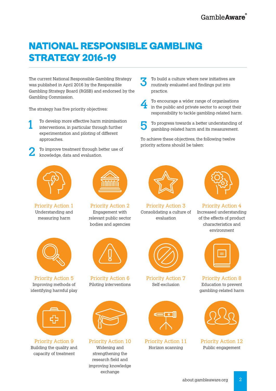### **NATIONAL RESPONSIBLE GAMBLING STRATEGY 2016-19**

The current National Responsible Gambling Strategy was published in April 2016 by the Responsible Gambling Strategy Board (RGSB) and endorsed by the Gambling Commission.

The strategy has five priority objectives:

- To develop more effective harm minimisation interventions, in particular through further experimentation and piloting of different approaches. 1
- To improve treatment through better use of knowledge, data and evaluation. 2



Priority Action 1 Understanding and measuring harm



Priority Action 5 Improving methods of identifying harmful play



Priority Action 9 Building the quality and capacity of treatment



Priority Action 2 Engagement with relevant public sector bodies and agencies



Priority Action 6 Piloting interventions



Priority Action 10 Widening and strengthening the research field and improving knowledge exchange

- To build a culture where new initiatives are routinely evaluated and findings put into practice. 3
- To encourage a wider range of organisations in the public and private sector to accept their responsibility to tackle gambling-related harm. 4
- To progress towards a better understanding of gambling-related harm and its measurement. 5

To achieve these objectives, the following twelve priority actions should be taken:



Priority Action 3 Consolidating a culture of evaluation



Priority Action 7 Self-exclusion



Priority Action 11 Horizon scanning



Priority Action 4 Increased understanding of the effects of product characteristics and environment



Priority Action 8 Education to prevent gambling-related harm



Priority Action 12 Public engagement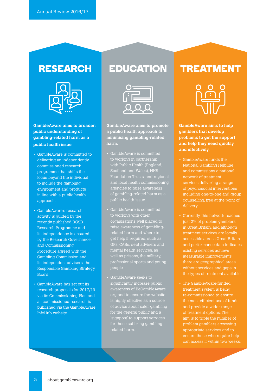

**GambleAware aims to broaden public understanding of gambling-related harm as a public health issue.**

- GambleAware is committed to delivering an independently commissioned research programme that shifts the focus beyond the individual to include the gambling environment and products in line with a public health approach.
- GambleAware's research activity is guided by the recently published RGSB Research Programme and its independence is ensured by the Research Governance and Commissioning Procedure agreed with the Gambling Commission and its independent advisers, the Responsible Gambling Strategy Board.
- GambleAware has set out its research proposals for 2017/19 via its Commissioning Plan and all commissioned research is published via the GambleAware InfoHub website.



**GambleAware aims to promote a public health approach to minimising gambling-related harm.**

- GambleAware is committed with Public Health (England, Scotland and Wales), NHS Foundation Trusts, and regional and local health commissioning agencies to raise awareness of gambling-related harm as a public health issue.
- GambleAware is committed to working with other organisations well placed to raise awareness of gamblingrelated harm and where to get help if required, such as GPs, CABs, debt advisers and professional sports and young people.
- significantly increase public awareness of BeGambleAware. org and to ensure the website is highly effective as a source of advice about safer gambling for the general public and a signpost' to support services for those suffering gamblingrelated harm.

### **RESEARCH EDUCATION TREATMENT**



**GambleAware aims to help gamblers that develop problems to get the support and help they need quickly and effectively.**

- GambleAware funds the National Gambling Helpline and commissions a national network of treatment services delivering a range of psychosocial interventions including one-to-one and group counselling, free at the point of delivery.
- Currently, this network reaches just 2% of problem gamblers in Great Britain, and although treatment services are locally accessible across Great Britain and performance data indicates existing services achieve measurable improvements, there are geographical areas without services and gaps in the types of treatment available.
- The GambleAware-funded treatment system is being re-commissioned to ensure the most efficient use of funds and provide a wider range of treatment options. The aim is to triple the number of problem gamblers accessing appropriate services and to ensure those who require help can access it within two weeks.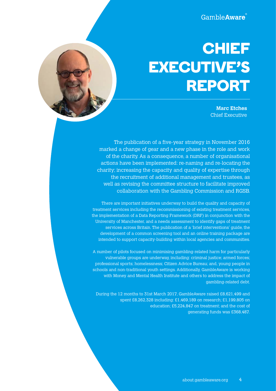GambleAware

## **CHIEF EXECUTIVE'S REPORT**

**Marc Etches** Chief Executive



The publication of a five-year strategy in November 2016 marked a change of gear and a new phase in the role and work of the charity. As a consequence, a number of organisational actions have been implemented: re-naming and re-locating the charity; increasing the capacity and quality of expertise through the recruitment of additional management and trustees, as well as revising the committee structure to facilitate improved collaboration with the Gambling Commission and RGSB.

There are important initiatives underway to build the quality and capacity of treatment services including the recommissioning of existing treatment services, the implementation of a Data Reporting Framework (DRF) in conjunction with the University of Manchester, and a needs assessment to identify gaps of treatment services across Britain. The publication of a 'brief interventions' guide, the development of a common screening tool and an online training package are intended to support capacity-building within local agencies and communities.

A number of pilots focused on minimising gambling-related harm for particularly vulnerable groups are underway, including: criminal justice; armed forces; professional sports; homelessness; Citizen Advice Bureau; and, young people in schools and non-traditional youth settings. Additionally, GambleAware is working with Money and Mental Health Institute and others to address the impact of gambling-related debt.

During the 12 months to 31st March 2017, GambleAware raised £8,621,499 and spent £8,262,328 including: £1,469,189 on research; £1,199,805 on education; £5,224,847 on treatment; and the cost of generating funds was £368,487.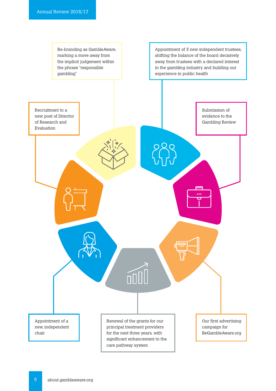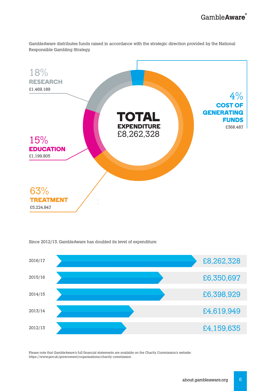GambleAware distributes funds raised in accordance with the strategic direction provided by the National Responsible Gambling Strategy.



Since 2012/13, GambleAware has doubled its level of expenditure:



Please note that GambleAware's full financial statements are available on the Charity Commission's website: https://www.gov.uk/government/organisations/charity-commission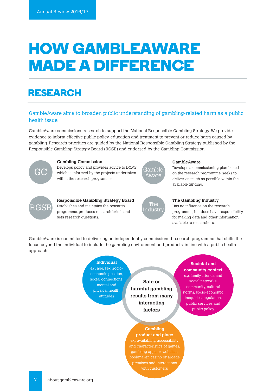### **HOW GAMBLEAWARE ENGAGEMENT MADE A DIFFERENCE**

### **RESEARCH**

#### GambleAware aims to broaden public understanding of gambling-related harm as a public health issue.

GambleAware commissions research to support the National Responsible Gambling Strategy. We provide evidence to inform effective public policy, education and treatment to prevent or reduce harm caused by gambling. Research priorities are guided by the National Responsible Gambling Strategy published by the Responsible Gambling Strategy Board (RGSB) and endorsed by the Gambling Commission.



#### **Gambling Commission**

Develops policy and provides advice to DCMS which is informed by the projects undertaken within the research programme.



#### **GambleAware**

Develops a commissioning plan based on the research programme, seeks to deliver as much as possible within the available funding.



#### **Responsible Gambling Strategy Board** Establishes and maintains the research programme, produces research briefs and

sets research questions.



#### **The Gambling Industry**

Has no influence on the research programme, but does have responsibility for making data and other information available to researchers.

GambleAware is committed to delivering an independently commissioned research programme that shifts the focus beyond the individual to include the gambling environment and products, in line with a public health approach.

> **Individual** e.g. age, sex, socioeconomic position, social connections, mental and physical health, attitudes

**Safe or harmful gambling results from many interacting factors** 

#### **Societal and**

**community context** e.g. family, friends and social networks, community, cultural norms, socio-economic inequities, regulation, public services and public policy

#### **Gambling product and place**

e.g. availability, accessibility and characteristics of games, gambling apps or websites, bookmaker, casino or arcade premises and interactions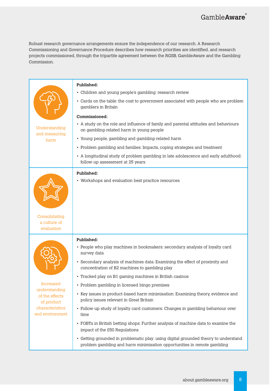Robust research governance arrangements ensure the independence of our research. A Research Commissioning and Governance Procedure describes how research priorities are identified, and research projects commissioned, through the tripartite agreement between the RGSB, GambleAware and the Gambling Commission.

| Understanding<br>and measuring<br>harm                                                           | Published:<br>• Children and young people's gambling: research review<br>• Cards on the table: the cost to government associated with people who are problem                                                                                                                                                                                                                                                                                                                                                                                                                                                                                                                                                                                                                                 |  |  |
|--------------------------------------------------------------------------------------------------|----------------------------------------------------------------------------------------------------------------------------------------------------------------------------------------------------------------------------------------------------------------------------------------------------------------------------------------------------------------------------------------------------------------------------------------------------------------------------------------------------------------------------------------------------------------------------------------------------------------------------------------------------------------------------------------------------------------------------------------------------------------------------------------------|--|--|
|                                                                                                  | gamblers in Britain<br>Commissioned:<br>• A study on the role and influence of family and parental attitudes and behaviours<br>on gambling-related harm in young people<br>• Young people, gambling and gambling-related harm<br>• Problem gambling and families: Impacts, coping strategies and treatment<br>• A longitudinal study of problem gambling in late adolescence and early adulthood:                                                                                                                                                                                                                                                                                                                                                                                            |  |  |
|                                                                                                  | follow-up assessment at 25 years                                                                                                                                                                                                                                                                                                                                                                                                                                                                                                                                                                                                                                                                                                                                                             |  |  |
| Consolidating<br>a culture of<br>evaluation                                                      | Published:<br>• Workshops and evaluation best practice resources                                                                                                                                                                                                                                                                                                                                                                                                                                                                                                                                                                                                                                                                                                                             |  |  |
| Increased<br>understanding<br>of the effects<br>of product<br>characteristics<br>and environment | Published:<br>• People who play machines in bookmakers: secondary analysis of loyalty card<br>survey data<br>• Secondary analysis of machines data: Examining the effect of proximity and<br>concentration of B2 machines to gambling play<br>• Tracked play on B1 gaming machines in British casinos<br>• Problem gambling in licensed bingo premises<br>• Key issues in product-based harm minimisation: Examining theory, evidence and<br>policy issues relevant in Great Britain<br>• Follow-up study of loyalty card customers: Changes in gambling behaviour over<br>time<br>• FOBTs in British betting shops: Further analysis of machine data to examine the<br>impact of the £50 Regulations<br>• Getting grounded in problematic play: using digital grounded theory to understand |  |  |
|                                                                                                  | problem gambling and harm minimisation opportunities in remote gambling                                                                                                                                                                                                                                                                                                                                                                                                                                                                                                                                                                                                                                                                                                                      |  |  |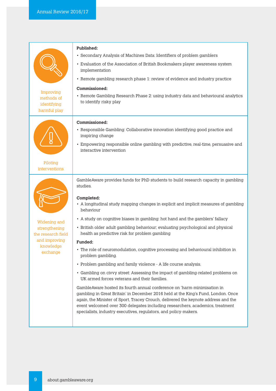| Improving<br>methods of<br>identifying<br>harmful play                                        | Published:<br>• Secondary Analysis of Machines Data: Identifiers of problem gamblers<br>• Evaluation of the Association of British Bookmakers player awareness system<br>implementation<br>• Remote gambling research phase 1: review of evidence and industry practice<br>Commissioned:<br>• Remote Gambling Research Phase 2: using industry data and behavioural analytics<br>to identify risky play                                                                                                                                                                                                                                                                                                                                                                                                                                                                                                                                                                                                                                                                                                                                                                          |
|-----------------------------------------------------------------------------------------------|----------------------------------------------------------------------------------------------------------------------------------------------------------------------------------------------------------------------------------------------------------------------------------------------------------------------------------------------------------------------------------------------------------------------------------------------------------------------------------------------------------------------------------------------------------------------------------------------------------------------------------------------------------------------------------------------------------------------------------------------------------------------------------------------------------------------------------------------------------------------------------------------------------------------------------------------------------------------------------------------------------------------------------------------------------------------------------------------------------------------------------------------------------------------------------|
| Piloting<br>interventions                                                                     | Commissioned:<br>• Responsible Gambling: Collaborative innovation identifying good practice and<br>inspiring change<br>• Empowering responsible online gambling with predictive, real-time, persuasive and<br>interactive intervention                                                                                                                                                                                                                                                                                                                                                                                                                                                                                                                                                                                                                                                                                                                                                                                                                                                                                                                                           |
| Widening and<br>strengthening<br>the research field<br>and improving<br>knowledge<br>exchange | GambleAware provides funds for PhD students to build research capacity in gambling<br>studies.<br>Completed:<br>• A longitudinal study mapping changes in explicit and implicit measures of gambling<br>behaviour<br>• A study on cognitive biases in gambling: hot hand and the gamblers' fallacy<br>• British older adult gambling behaviour; evaluating psychological and physical<br>health as predictive risk for problem gambling<br>Funded:<br>• The role of neuromodulation, cognitive processing and behavioural inhibition in<br>problem gambling.<br>• Problem gambling and family violence - A life course analysis.<br>• Gambling on civvy street: Assessing the impact of gambling-related problems on<br>UK armed forces veterans and their families.<br>GambleAware hosted its fourth annual conference on 'harm-minimisation in<br>gambling in Great Britain' in December 2016 held at the King's Fund, London. Once<br>again, the Minister of Sport, Tracey Crouch, delivered the keynote address and the<br>event welcomed over 300 delegates including researchers, academics, treatment<br>specialists, industry executives, regulators, and policy-makers. |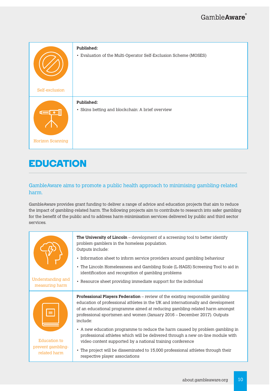

### **EDUCATION**

#### GambleAware aims to promote a public health approach to minimising gambling-related harm.

GambleAware provides grant funding to deliver a range of advice and education projects that aim to reduce the impact of gambling-related harm. The following projects aim to contribute to research into safer gambling for the benefit of the public and to address harm-minimisation services delivered by public and third sector services.

| Understanding and<br>measuring harm | <b>The University of Lincoln</b> – development of a screening tool to better identify<br>problem gamblers in the homeless population.<br>Outputs include:<br>• Information sheet to inform service providers around gambling behaviour<br>• The Lincoln Homelessness and Gambling Scale (L-HAGS) Screening Tool to aid in<br>identification and recognition of gambling problems<br>• Resource sheet providing immediate support for the individual                                                                |  |
|-------------------------------------|--------------------------------------------------------------------------------------------------------------------------------------------------------------------------------------------------------------------------------------------------------------------------------------------------------------------------------------------------------------------------------------------------------------------------------------------------------------------------------------------------------------------|--|
| <b>Education to</b>                 | <b>Professional Players Federation</b> – review of the existing responsible gambling<br>education of professional athletes in the UK and internationally and development<br>of an educational programme aimed at reducing gambling-related harm amongst<br>professional sportsmen and women (January 2016 – December 2017). Outputs<br>include:<br>• A new education programme to reduce the harm caused by problem gambling in<br>professional athletes which will be delivered through a new on-line module with |  |
| prevent gambling-<br>related harm   | video content supported by a national training conference<br>• The project will be disseminated to 15,000 professional athletes through their<br>respective player associations                                                                                                                                                                                                                                                                                                                                    |  |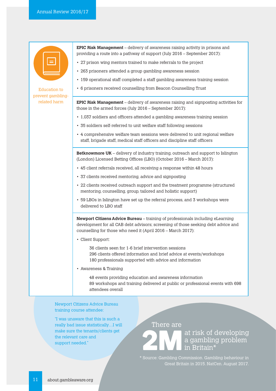

Education to prevent gamblingrelated harm

**EPIC Risk Management** – delivery of awareness raising activity in prisons and providing a route into a pathway of support (July 2016 – September 2017):

- 27 prison wing mentors trained to make referrals to the project
- 263 prisoners attended a group gambling awareness session
- 159 operational staff completed a staff gambling awareness training session
- 6 prisoners received counselling from Beacon Counselling Trust

**EPIC Risk Management** – delivery of awareness raising and signposting activities for those in the armed forces (July 2016 – September 2017):

- 1,037 soldiers and officers attended a gambling awareness training session
- 35 soldiers self-referred to unit welfare staff following sessions
- 4 comprehensive welfare team sessions were delivered to unit regional welfare staff, brigade staff, medical staff officers and discipline staff officers

**Betknowmore UK** – delivery of industry training, outreach and support to Islington (London) Licensed Betting Offices (LBO) (October 2016 – March 2017):

- 45 client referrals received, all receiving a response within 48 hours
- 37 clients received mentoring, advice and signposting
- 22 clients received outreach support and the treatment programme (structured mentoring, counselling, group, tailored and holistic support)
- 59 LBOs in Islington have set up the referral process, and 3 workshops were delivered to LBO staff

**Newport Citizens Advice Bureau** – training of professionals including eLearning development for all CAB debt advisors; screening of those seeking debt advice and counselling for those who need it (April 2016 – March 2017):

• Client Support:

 36 clients seen for 1-6 brief intervention sessions 296 clients offered information and brief advice at events/workshops 180 professionals supported with advice and information

• Awareness & Training

 48 events providing education and awareness information 89 workshops and training delivered at public or professional events with 698 attendees overall

Newport Citizens Advice Bureau training course attendee:

"I was unaware that this is such a really bad issue statistically…I will make sure the tenants/clients get the relevant care and support needed."

#### There are

at risk of developing a gambling problem in Britain\*

\* Source: Gambling Commission. Gambling behaviour in Great Britain in 2015. NatCen. August 2017.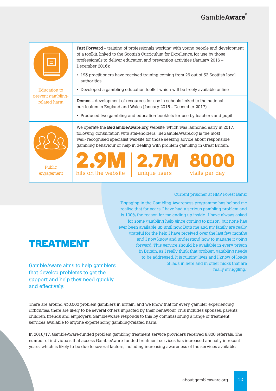### Gamble **Aware**

| <b>Education to</b><br>prevent gambling-<br>related harm | <b>Fast Forward</b> – training of professionals working with young people and development<br>of a toolkit, linked to the Scottish Curriculum for Excellence, for use by those<br>professionals to deliver education and prevention activities (January 2016 -<br>December 2016):                                                 |                             |                             |  |  |
|----------------------------------------------------------|----------------------------------------------------------------------------------------------------------------------------------------------------------------------------------------------------------------------------------------------------------------------------------------------------------------------------------|-----------------------------|-----------------------------|--|--|
|                                                          | 193 practitioners have received training coming from 26 out of 32 Scottish local<br>$\bullet$<br>authorities                                                                                                                                                                                                                     |                             |                             |  |  |
|                                                          | • Developed a gambling education toolkit which will be freely available online                                                                                                                                                                                                                                                   |                             |                             |  |  |
|                                                          | Demos - development of resources for use in schools linked to the national<br>curriculum in England and Wales (January 2016 - December 2017):<br>• Produced two gambling and education booklets for use by teachers and pupil                                                                                                    |                             |                             |  |  |
|                                                          | We operate the <b>BeGambleAware.org</b> website, which was launched early in 2017,<br>following consultation with stakeholders. BeGambleAware.org is the most<br>well- recognised specialist website for those seeking advice about responsible<br>gambling behaviour or help in dealing with problem gambling in Great Britain. |                             |                             |  |  |
| Public<br>engagement                                     | hits on the website                                                                                                                                                                                                                                                                                                              | <b>2.7M</b><br>unique users | <b>80</b><br>visits per day |  |  |

#### Current prisoner at HMP Forest Bank:

"Engaging in the Gambling Awareness programme has helped me realise that for years, I have had a serious gambling problem and is 100% the reason for me ending up inside. I have always asked for some gambling help since coming to prison, but none has ever been available up until now. Both me and my family are really grateful for the help I have received over the last few months and I now know and understand how to manage it going forward. This service should be available in every prison in Britain, as I really think that problem gambling needs to be addressed. It is ruining lives and I know of loads of lads in here and in other nicks that are really struggling."

### **TREATMENT**

GambleAware aims to help gamblers that develop problems to get the support and help they need quickly and effectively.

There are around 430,000 problem gamblers in Britain, and we know that for every gambler experiencing difficulties, there are likely to be several others impacted by their behaviour. This includes spouses, parents, children, friends and employers. GambleAware responds to this by commissioning a range of treatment services available to anyone experiencing gambling-related harm.

In 2016/17, GambleAware-funded problem gambling treatment service providers received 8,800 referrals. The number of individuals that access GambleAware-funded treatment services has increased annually in recent years, which is likely to be due to several factors, including increasing awareness of the services available.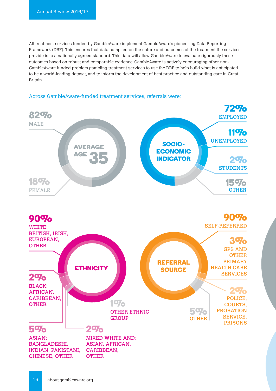All treatment services funded by GambleAware implement GambleAware's pioneering Data Reporting Framework (DRF). This ensures that data compiled on the nature and outcomes of the treatment the services provide is to a nationally agreed standard. This data will allow GambleAware to evaluate rigorously these outcomes based on robust and comparable evidence. GambleAware is actively encouraging other non-GambleAware funded problem gambling treatment services to use the DRF to help build what is anticipated to be a world-leading dataset, and to inform the development of best practice and outstanding care in Great Britain.



#### Across GambleAware-funded treatment services, referrals were: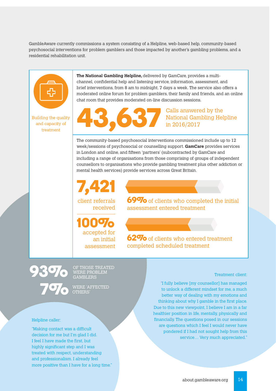GambleAware currently commissions a system consisting of a Helpline, web-based help, community-based psychosocial interventions for problem gamblers and those impacted by another's gambling problems, and a residential rehabilitation unit.



Building the quality and capacity of treatment

**The National Gambling Helpline,** delivered by GamCare, provides a multichannel, confidential help and listening service, information, assessment, and brief interventions, from 8 am to midnight, 7 days a week. The service also offers a moderated online forum for problem gamblers, their family and friends, and an online chat room that provides moderated on-line discussion sessions.

# **43,637** Calls answered by the National Gambling Hel

National Gambling Helpline in 2016/2017

The community-based psychosocial interventions commissioned include up to 12 week/sessions of psychosocial or counselling support. **GamCare** provides services in London and online, and fifteen 'partners' (subcontracted by GamCare and including a range of organisations from those comprising of groups of independent counsellors to organisations who provide gambling treatment plus other addiction or mental health services) provide services across Great Britain.

### **7,421** client referrals

received

**69%** of clients who completed the initial assessment entered treatment

**100%** accepted for an initial assessment

**62%** of clients who entered treatment completed scheduled treatment

**93%** OF THOSE TREATED WERE PROBLEM GAMBLERS

**7%** WERE 'AFFECTED OTHERS'

#### Treatment client:

"I fully believe [my counsellor] has managed to unlock a different mindset for me, a much better way of dealing with my emotions and thinking about why I gamble in the first place. Due to this new viewpoint, I believe I am in a far healthier position in life, mentally, physically and financially. The questions posed in our sessions are questions which I feel I would never have pondered if I had not sought help from this service… Very much appreciated."

Helpline caller:

"Making contact was a difficult decision for me but I'm glad I did. I feel I have made the first, but highly significant step and I was treated with respect, understanding and professionalism. I already feel more positive than I have for a long time."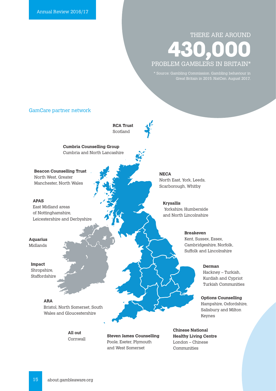### **430,000** PROBLEM GAMBLERS IN BRITAIN\* THERE ARE AROUND

### GamCare partner network **RCA Trust**  Scotland **Cumbria Counselling Group** Cumbria and North Lancashire **Beacon Counselling Trust** North West, Greater Manchester, North Wales **APAS** East Midland areas of Nottinghamshire, Leicestershire and Derbyshire **Aquarius** Midlands **Impact** Shropshire, Staffordshire **ARA** Bristol, North Somerset, South Wales and Gloucestershire **NECA** Scarborough, Whitby **Krysallis All out** Cornwall **Steven James Counselling** Poole, Exeter, Plymouth and West Somerset

North East, York, Leeds,

 Yorkshire, Humberside and North Lincolnshire

#### **Breakeven**

Kent, Sussex, Essex, Cambridgeshire, Norfolk, Suffolk and Lincolnshire

#### **Derman**

Hackney – Turkish, Kurdish and Cypriot Turkish Communities

#### **Options Counselling**

Hampshire, Oxfordshire, Salisbury and Milton Keynes

**Chinese National Healthy Living Centre** London – Chinese Communities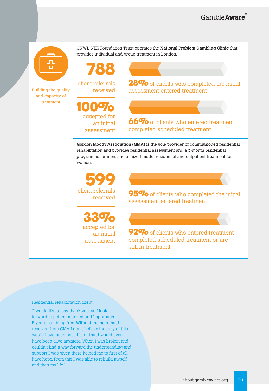

#### Residential rehabilitation client:

"I would like to say thank you, as I look forward to getting married and I approach 5 years gambling free. Without the help that I received from GMA I don't believe that any of this would have been possible or that I would even have been alive anymore. When I was broken and couldn't find a way forward the understanding and support I was given there helped me to first of all have hope. From this I was able to rebuild myself and then my life."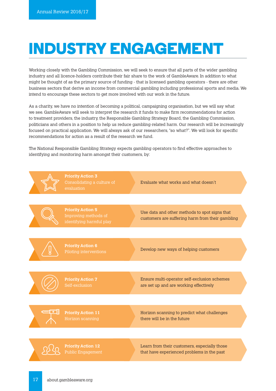### **INDUSTRY INDUSTRY ENGAGEMENT ENGAGEMENT**

Working closely with the Gambling Commission, we will seek to ensure that all parts of the wider gambling industry and all licence-holders contribute their fair share to the work of GambleAware. In addition to what might be thought of as the primary source of funding - that is licensed gambling operators - there are other business sectors that derive an income from commercial gambling including professional sports and media. We intend to encourage these sectors to get more involved with our work in the future.

As a charity, we have no intention of becoming a political, campaigning organisation, but we will say what we see. GambleAware will seek to interpret the research it funds to make firm recommendations for action to treatment providers, the industry, the Responsible Gambling Strategy Board, the Gambling Commission, politicians and others in a position to help us reduce gambling-related harm. Our research will be increasingly focused on practical application. We will always ask of our researchers, "so what?". We will look for specific recommendations for action as a result of the research we fund.

The National Responsible Gambling Strategy expects gambling operators to find effective approaches to identifying and monitoring harm amongst their customers, by:

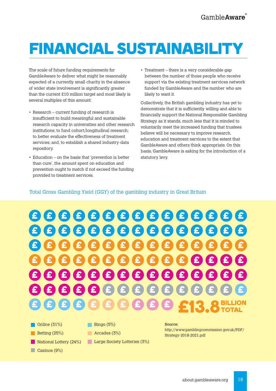### **INDUSTRY FINANCIAL SUSTAINABILITY ENGAGEMENT**

The scale of future funding requirements for GambleAware to deliver what might be reasonably expected of a currently small charity in the absence of wider state involvement is significantly greater than the current £10 million target and most likely is several multiples of this amount:

- Research current funding of research is insufficient to build meaningful and sustainable research capacity in universities and other research institutions; to fund cohort/longitudinal research; to better evaluate the effectiveness of treatment services; and, to establish a shared industry-data repository.
- Education on the basis that 'prevention is better than cure', the amount spent on education and prevention ought to match if not exceed the funding provided to treatment services.

• Treatment – there is a very considerable gap between the number of those people who receive support via the existing treatment services network funded by GambleAware and the number who are likely to want it.

Collectively, the British gambling industry has yet to demonstrate that it is sufficiently willing and able to financially support the National Responsible Gambling Strategy as it stands, much less that it is minded to voluntarily meet the increased funding that trustees believe will be necessary to improve research, education and treatment services to the extent that GambleAware and others think appropriate. On this basis, GambleAware is asking for the introduction of a statutory levy.

#### Total Gross Gambling Yield (GGY) of the gambling industry in Great Britain

## **£ £ £ £ £ £ £ £ £ £ £ £ £ £ £ £ £ £ £ £ £ £ £ £ £ £ £ £ £ £ £ £ £ £ £ £ £ £ £ £ £ £ £ £ £ £ £ £ £ £ £ £ £ £ £ £ £ £ £ £ £ £ £ £ £ £ £ £ £ £ £ £ £ £ £ £ £ £ £ £ £ £ £ £ £ £ £ £ £ £ £ £ £ £ £ £ £ £ £ £ BILLION £13.8TOTAL**

#### **Online** (31%)

- **Betting (25%)**
- National Lottery (24%)
- Casinos (9%)
- Bingo (5%)
- Arcades (3%)
- **Large Society Lotteries (3%)**

http://www.gamblingcommission.gov.uk/PDF/ Strategy-2018-2021.pdf

Source: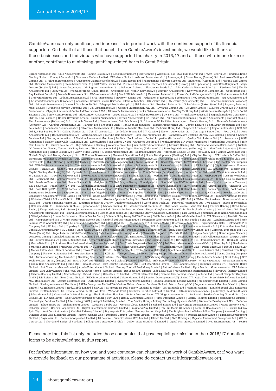GambleAware can only continue, and increase, its important work with the continued support of its financial supporters. On behalf of all those that benefit from GambleAwere's investments, we would like to thank all those businesses and individuals who have supported the charity in 2016/17 and all those who, in one form or another, contribute to minimising gambling-related harm in Great Britain.

yhound Racing Company Id | N Charles Bookmakers | Breakout Operations Id | Stade Developments [Rastings D. Id | Q Ray Developments [Rastings D. Id | Charles Bookmakers | Method Racings | CFP Lottings D. Id | Ray Developmen Pearson (Turf Accountants) Ltd | Leisureland (Bridlington) Ltd | Riva Boyil LLP | DT Bradbury 7/A X-Games Media | Shepway Automatics | Ongoingmedia GMBH | Stonegate Pub<br>Pearson (Turf Accountants) Ltd | Leisureland (Bridlin Border Automatics Ltd | Club Amusements Ltd | Comrie Leisure Ltd | Kenclub Equipment | Sportech plc | William Hill plc | RAL Ltd/ Talarius Ltd | Away Resorts Ltd | Endemol Shine Gaming Limited | Concept Games Ltd | Grosvenor Casinos Limited | DP Leisure Limited | Ashcroft Bookmakers Ltd | Praesepe plc | Crown Racing (Sussex) Ltd | Ladbrokes Betting and Gaming Ltd | K Johnson Bookmakers | Amusement Caterers (Sheffi eld) Ltd | Coral Racing Ltd | Microgaming Software Systems Ltd | B&N Regal (Abingdon) Ltd | Martin's Reel Games Ltd | Dawsons Amusements | Brean Leisure Park Ltd | B&E Parkin Leisure Ltd | Pridmore Bookmakers | Harbour Amusements (Devon) | John Speakman | Essex Coin Equipment | Mega<br>Leisure (Scotland) Ltd | James Automatics | Mr. Ri Amusements Ltd | Spin2win Ltd | The Gliderdrome (Bingo) Boston | Oysterfl eet plc | Tipp24 Services Ltd | Cointron Amusements | New Walton Pier Company Ltd | Countgrade Ltd | Ray Parkin & Sons Ltd | Deeside Bookmakers Ltd | D&D Amusements Ltd | Frank Whitehouse Ltd | Masterson Leisure Ltd | Fraser Capital Management Ltd | Pwllheli Amusements Ltd | Club Grand Bingo Ltd | Lothian Amusements Ltd | SAS Amusements | Newtown Racing Ltd | Federation of Racecourse Bookmakers | Roy Wood Automatics | MJS Amusements Ltd | Aristocrat Technologies Europe Ltd | Associated Brewery Leisure Services | Globe Automatics | HB Leisure Ltd | J&L Leisure (Amusements) Ltd | JE Sheeran (Amusement Arcades) Ltd | Johnny's Amusements | Laverock Von Schoultz Ltd | Telegraph Media Group Ltd | JRS Leisure Ltd | Brenland Leisure Ltd | H Backhouse (Baker Street) Ltd | Regency Leisure | Maxx Leisure | Dransfield Novelty Company Ltd | Oak Amusements Ltd | Caesars Entertainment UK Ltd | Dynamic Gaming Ltd | BetVictor Limited | Maurice Charge Ltd T/A Sports Bookmakers | Olympia Amusement Centre Ltd T/A Leisure 2000 | Atkinson's Amusements | Lucky Strike Amusements | NetPlay TV Group Ltd | Wilkie Leisure Group Ltd | Forth Social & Leisure Club | New Century Bingo Ltd | Blue Lagoon Amusements - Loizou Leisure Ltd | Stock's Bookmakers | UK Piers Ltd | Witnall Automatics Ltd | Highfi eld Builders Contractors Ltd T/A New Pastimes | Golden Sovereign Arcade | Cullis's Amusements | Torbay Amusements | SP Graham Ltd | AK Amusement Supplies | Knight's Amusements | Starlight Music | Pier Amusements (Felixstowe) Ltd | Intouch Games Ltd | Haverfordwest Coin Machines | St Johnstone FC Facilities Association | Stemik Gaming Ltd | Thomas's Entertainments (Leicester) Ltd | Carefree Amusements Ltd | Funspot Ltd | Shopper's Luck | Ron Dean Bookmakers | Mann's Amusements Ltd | Gambit Leisure | Leigh Smith Operations Ltd | JSP Leisure Ltd | Leominster Bookmakers Ltd | Silvertime Amusements Ltd | Regent Automatic Machines Ltd | Bell-Fruit Group Ltd | Shepherd Arcades Ltd | Royton Automatics | BBB 247 Ltd T/A Bet Bet Bet 24/7 | CalMac Ferries Ltd | Coin IT Leisure Ltd | Lordsdale Estates Ltd T/A Cassino | Eastern Automatics Ltd | Connaught Bingo Club | Jaxx UK Ltd | Auto Amusements Ltd | DJC (Amusements) Ltd | Astra Games Ltd | Mendip Coin Company | John Icke Automatics Ltd | Cotswold Micro Systems Ltd T/A CMS Gaming | Sound & Leisure<br>Services Ltd | Sterling Automatics | T Sheldon Amusemen Automatics | Pavilion Bingo Club | MyLotto24 Ltd | Logic Leisure | Fair Games UK Ltd | Gamestec Leisure Ltd | Keith Larcombe T/A Union Automatics | Northumbria Leisure Ltd | York Coin Leisure Ltd | Crown Leisure Ltd | Sky Betting and Gaming | Welcome Break Ltd | Winchester Automatics Ltd | Livewire Gaming Ltd | Automatic Machine Services Ltd | Nickels 'N' Dimes Adult Gaming Centre | Halliday Leisure | JEM Amusements Ltd | Rank Digital Gaming (Alderney) Ltd | Rank Digital Gaming (Alderney) Ltd | Alan Davis Automatics | Manco Automatics Ltd | Harker Leisure Ltd | Albyn Video Games | JB Jones Amusements Ltd | Bellmatic Leisure Ltd | Mare Vall | Heff Mabey Ltd | Games Warehouse Ltd | Games Warehouse Ltd |<br>Norfolk Greyhound Racing Company Ltd | N Parkinsons Machines & Vehicles Ltd | ABC Leisure (Machines) Ltd | Full House Bingo Ltd | Ravendive Ltd | CC Leisure Ltd | Wilson Leisure | New Globe Bingo & Social Club Ltd | Playtech plc | EB & K Newton | Shipley Estates Ltd | Network Resource Management Ltd | Kravis Holdings Ltd | Shovelton Leisure Ltd T/A Barrie I Shovelton | The Clacton Pier Company<br>Ltd | W Ball & Sons Amusements | Ivor Tho Leisure | Picklive Ltd | Oulton Broad Leisure Ltd | Holdsworths Amusements | Liam Taylor Turf Accountants | Lifewave Ltd | Tunmore Leisure Ltd | BMI Amusements | Meeron Ltd | Capital Gaming Machines (UK) Ltd | Spreadex Ltd | Sure Leisure Ltd | Oakwood Amusements | Punch Taverns (Services) Limited | Amaya Group Ltd | North Wales Amusements Ltd |<br>IVC Leisure Ltd | Tri Prince Raceway Ltd | Wyke Ga Ltd | Seashore Enterprises Ltd | Penlan Social Club | Medglen Ltd T/A Red Dragon Racing | Poundpalm Ltd | Sheffield Lane WMC & Institute Ltd | Poymatics Ltd | Admiral Taverns | Ltd | Point Sheffi eld Lane WMC & Institute L K&J Leisure Ltd | Touch-Tech (UK) Ltd | CM Johnston Bookmaker | W&J Shaw Pastimes (Withernsea) Ltd | Shws Pastimes Ltd | Shw Pastimes Ltd | Grand Pier Ltd | Ainsworth (UK)<br>Ltd | Roar Betting DF Ltd | 2 Fat Ladies Leisure L Smartgames Technologies | Expecto Ltd | Stan James/Megabet | Croad Automafics Supplies | Phoenix Sport | Charlie Hayes Leisure Limited T/A Charlies | Royal Arcade Ltd |<br>Gallagher's Amusements | SCH Racing | S Redi Die Marc WMC Ltd | George Simmons Racing Ltd | Electrical Industries Charity | Angling Trust Limited | World Bingo Tech Ltd | Pontypool Automatics Ltd | JWT Leisure | Imbex 88 (Westclub) | Holkham (UK) Ltd | Amusement & Music (Operations) Ltd | Lincoln Gaming Ltd | Meadow Court Stadium Ltd | Roy Bailey Leisure | Maxi Coin Ltd | Premier Gaming | David James Racing | Blueprint Gaming Ltd | Sense | American Amusements Ltd | Hampshire Leisure | Crown Bingo | Cheylesmore Social Club | Pembrokeshire Lottery | Leeds Leisure Ltd | Regal Amusements (North East) Ltd | Island Entertainments Ltd | Border Bingo Clubs Ltd | J&J Vending Ltd "1/A Guildford Automatics | Easi Games Ltd | National Bingo Game Association Ltd<br>| Giltedge Leisure | Grimes Bookmakers | S Ltd | Hampshire and Isle Of Wight Opportunity Society Ltd | Hambrid Ltd T/A Automatique | Serendipity Entertainments Ltd | Frank Booth & Sons Ltd | Lynchpin Leisure Ltd | Jack Leisuretec Gaming | Disabled Motoring UK | Actionaid | Leicester Railwaymens Club & Institute Ltd | Kingdom Amusements | Leigh Automatics | Cash Fall Amusements | Jackpot Derby<br>Ltd | Eurotek Designs Ltd | B&M Automatics Lt | Mecca Retail Ltd | St Andrews Hospice Lanarkshire | Pioneer Leisure Ltd | ComTrade Programske Resitve DOO | Ted Plant | Grosvenor Casinos (GC) Ltd | Silverplay Ltd | Five Leisure | Majestic Bingo Limited | Meadway Ventures Ltd | NS Gaming Ltd | National Conservative Draws Society | The Landmark Trust | Happy Days | Palais Bingo Ltd | Booths Leisure LLP<br>| Maday Automatics | Kambi Services Ltd | Hiro Company | Urmston Automatics Ltd | Key West Restarant Ltd | KCE Ltd | Walwyn Leisure | Service Gaming Europe Ltd | Bet-at-home.com Internet Limited | Cosmo Gaming Company<br>Ltd | Automatic Vending Machines Ltd | Semilong Spo Technologies | Binary (Europe) Ltd | Binary (IOM) Ltd | Gears of Leo AB | Goldchip Limited | Maverick | Billy Bongo | Scottish National Party | White Hat Gaming | Aberdeen Machines | Lucky Star Amusements Ltd | Iludo Ltd | Iludo82 Limited | Roy Christie Racecourse Ltd | Betit Operations Limited | CGS Gaming Limited | Dumarca Gaming LTD | Concept Bingo<br>Limited | Soft Construct (Malta) Limited | Apollo Limited | Aire Valley Leisure | The Royal Star & Garter Homes | Sapient Limited | Bet Essex (UK) Limited | Jade Leisure Ltd | MB Consulting International Inc | Play'n GO Alderney Limited | Eyecon Alderney Limited | Avalon Racing | Betsid Limited | Gametech UK Limited | IGT UK Interactive Ltd | Extreme Live Gaming Limited | Autobet Ltd | Rabcat Computer Graphics GmbH | R&J Leisure Ltd | Bear Group Limited | BGO Entertainment Limited | Wexel Gaming Ltd | Rooftop Developments (UK) Limited T/A Astro City | EveryMatrix Software Limited | MAB Bookmakers Ltd | Leisure Electronics Ltd | CORE Gaming Limited | Jays Entertainments Limited | Rotunda Equipment Leasing Limited | MT SecureTrade Limited | Excel Gaming Limited | Sterling Amusement Machines | LAPTA Enterprises Limited T/A Marinas Plaice | Casumo Services Limited | Metric Gaming LLC | Regal Amusement Machine Sales Ltd | Dave Bindon | CZ Holdings Limited | Red7Mobile Limited | KTO Ltd | St Vincent De Paul Society (England & Wales) | HC Terminals Ltd | Midnight Gaming | Elmfield Social Club & Institute Limited | Flutters Leisure Ltd | Edict eGaming GmbH | Wildfowl & Wetlands Trust | Southern Counties Automatics Limited | CHS (Amusements) Limited | Alder Hey Children's Charity | Jabro Games Ltd | Compassion In World Farming | The Rotherham Hospice | Ventura Leisure Limited T/A Kings Amusements | Lotto Social | Searles Camping Ground Ltd | Gala Leisure Ltd, T/A Gala Bingo | Best Gaming Technology GmbH | STV ELM | Replay Automatics Limited | Viral Interactive Limited | Xterra Holdings Limited | Commologic Limited |<br>Commologic Services Limited | Intechnology WiFI | Limited | Yahoo EMEA Inc | Skillzzgaming Limited | Lotteries 4 Pubs LLP | Genesis Global Limited | J Holland & Sons Ltd | Newbridge Amusements Limited | Game Network SRL | Celicorp Limited | Seabay Corporation Ltd | Digital Entertainment Services Limited | Pragmatic Play Limited | Fan Hub Media UK Limited | Keith Hill Bookmakers | JGL Leisure Ltd T/A Spin City | Kent Coin Automatics | CashBet Alderney Limited | Boylesports Enterprise | Fantasy Soccer Kings Ltd | The Brighton Marine Palace & Pier Company | Assured Gaming | Dunston Social Club & Institute Limited | Magnet Gaming Aps | Yggdrasil Gaming (Gibraltar) Limited | Yggdrasil Moding Moling Limited | Limitless Development<br>Limited | Raynbeau Ltd | Games Incorporated Limited | Jet Leisure Course Ltd | The Grand Lodge of Scotland | Billingham Constitutional Club | Golden Slots (Southern) Limited | Digital Fish Software Limited | Net Entertainment AB | Bet365

Please note that this list only includes those companies that gave explicit permission in their 2016/17 donation forms to be acknowledged in this report.

For further information on how you and your company can champion the work of GambleAware, or if you want to provide feedback on our programme of activities, please do contact us at info@gambleaware.org.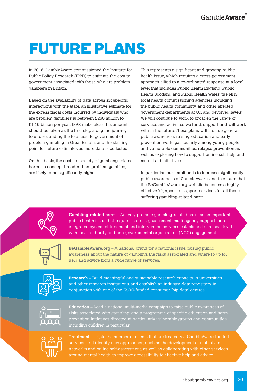## **FUTURE PLANS**

In 2016, GambleAware commissioned the Institute for Public Policy Research (IPPR) to estimate the cost to government associated with those who are problem gamblers in Britain.

Based on the availability of data across six specific interactions with the state, an illustrative estimate for the excess fiscal costs incurred by individuals who are problem gamblers is between £260 million to £1.16 billion per year. IPPR make clear this amount should be taken as the first step along the journey to understanding the total cost to government of problem gambling in Great Britain, and the starting point for future estimates as more data is collected.

On this basis, the costs to society of gambling-related harm – a concept broader than 'problem gambling' – are likely to be significantly higher.

This represents a significant and growing public health issue, which requires a cross-government approach allied to a co-ordinated response at a local level that includes Public Health England, Public Health Scotland and Public Health Wales, the NHS, local health commissioning agencies including the public health community, and other affected government departments at UK and devolved levels. We will continue to work to broaden the range of services and activities we fund, support and will work with in the future. These plans will include general public awareness-raising, education and earlyprevention work, particularly among young people and vulnerable communities, relapse prevention as well as exploring how to support online self-help and mutual aid initiatives.

In particular, our ambition is to increase significantly public awareness of GambleAware, and to ensure that the BeGambleAware.org website becomes a highly effective 'signpost' to support services for all those suffering gambling-related harm.



**Gambling-related harm** – Actively promote gambling-related harm as an important public health issue that requires a cross-government, multi-agency support for an integrated system of treatment and intervention services established at a local level with local authority and non-governmental organisation (NGO) engagement.



**BeGambleAware.org** – A national brand for a national issue, raising public awareness about the nature of gambling, the risks associated and where to go for help and advice from a wide range of services.



**Research** – Build meaningful and sustainable research capacity in universities and other research institutions, and establish an industry-data repository in conjunction with one of the ESRC-funded consumer 'big data' centres.



**Education** – Lead a national multi-media campaign to raise public awareness of risks associated with gambling, and a programme of specific education and harm prevention initiatives directed at particularly vulnerable groups and communities, including children in particular.



**Treatment** – Triple the number of clients that are treated via GambleAware-funded services and identify new approaches, such as the development of mutual aid networks and online self-assessment, as well as collaborating with other services around mental health, to improve accessibility to effective help and advice.